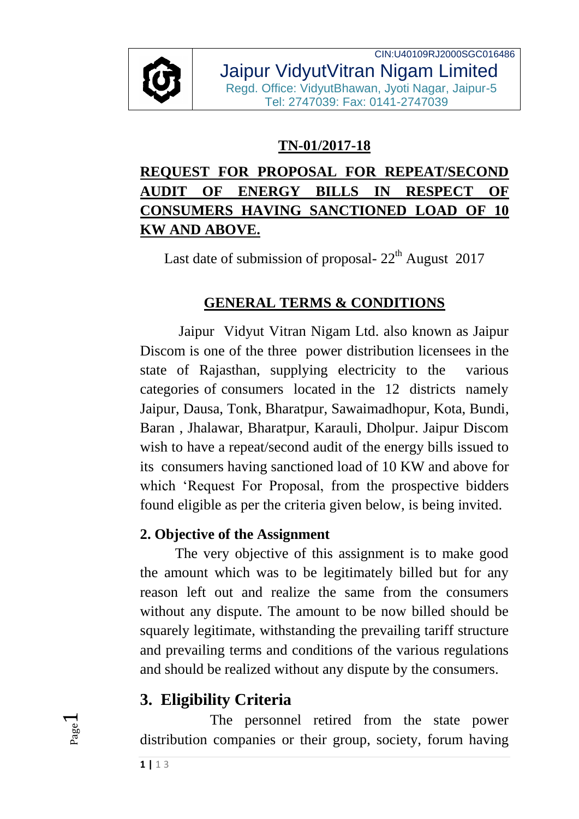

CIN:U40109RJ2000SGC016486 Jaipur VidyutVitran Nigam Limited Regd. Office: VidyutBhawan, Jyoti Nagar, Jaipur-5 Tel: 2747039: Fax: 0141-2747039

### **TN-01/2017-18**

# **REQUEST FOR PROPOSAL FOR REPEAT/SECOND AUDIT OF ENERGY BILLS IN RESPECT OF CONSUMERS HAVING SANCTIONED LOAD OF 10 KW AND ABOVE.**

Last date of submission of proposal-  $22<sup>th</sup>$  August 2017

### **GENERAL TERMS & CONDITIONS**

Jaipur Vidyut Vitran Nigam Ltd. also known as Jaipur Discom is one of the three power distribution licensees in the state of Rajasthan, supplying electricity to the various categories of consumers located in the 12 districts namely Jaipur, Dausa, Tonk, Bharatpur, Sawaimadhopur, Kota, Bundi, Baran , Jhalawar, Bharatpur, Karauli, Dholpur. Jaipur Discom wish to have a repeat/second audit of the energy bills issued to its consumers having sanctioned load of 10 KW and above for which 'Request For Proposal, from the prospective bidders found eligible as per the criteria given below, is being invited.

#### **2. Objective of the Assignment**

The very objective of this assignment is to make good the amount which was to be legitimately billed but for any reason left out and realize the same from the consumers without any dispute. The amount to be now billed should be squarely legitimate, withstanding the prevailing tariff structure and prevailing terms and conditions of the various regulations and should be realized without any dispute by the consumers.

# **3. Eligibility Criteria**

The personnel retired from the state power distribution companies or their group, society, forum having

Page  $\overline{\phantom{0}}$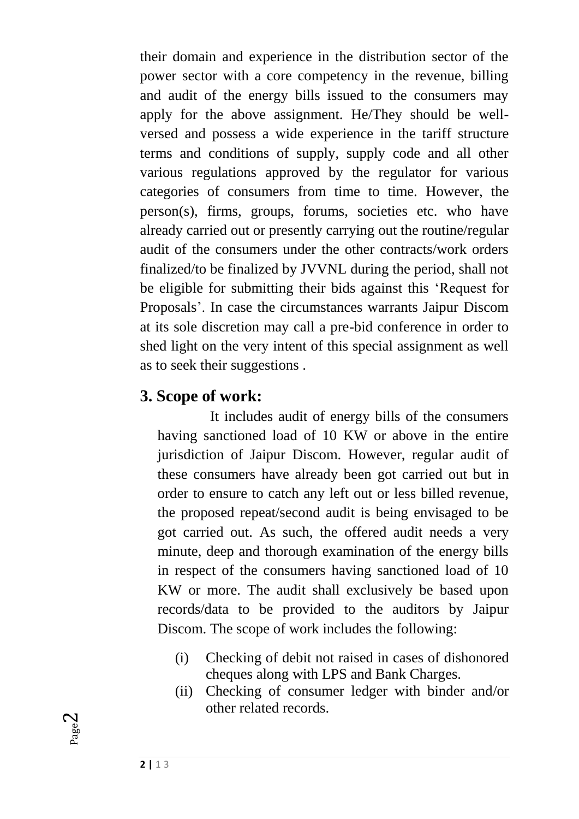their domain and experience in the distribution sector of the power sector with a core competency in the revenue, billing and audit of the energy bills issued to the consumers may apply for the above assignment. He/They should be wellversed and possess a wide experience in the tariff structure terms and conditions of supply, supply code and all other various regulations approved by the regulator for various categories of consumers from time to time. However, the person(s), firms, groups, forums, societies etc. who have already carried out or presently carrying out the routine/regular audit of the consumers under the other contracts/work orders finalized/to be finalized by JVVNL during the period, shall not be eligible for submitting their bids against this 'Request for Proposals'. In case the circumstances warrants Jaipur Discom at its sole discretion may call a pre-bid conference in order to shed light on the very intent of this special assignment as well as to seek their suggestions .

#### **3. Scope of work:**

It includes audit of energy bills of the consumers having sanctioned load of 10 KW or above in the entire jurisdiction of Jaipur Discom. However, regular audit of these consumers have already been got carried out but in order to ensure to catch any left out or less billed revenue, the proposed repeat/second audit is being envisaged to be got carried out. As such, the offered audit needs a very minute, deep and thorough examination of the energy bills in respect of the consumers having sanctioned load of 10 KW or more. The audit shall exclusively be based upon records/data to be provided to the auditors by Jaipur Discom. The scope of work includes the following:

- (i) Checking of debit not raised in cases of dishonored cheques along with LPS and Bank Charges.
- (ii) Checking of consumer ledger with binder and/or other related records.

Page  $\mathrel{\sim}$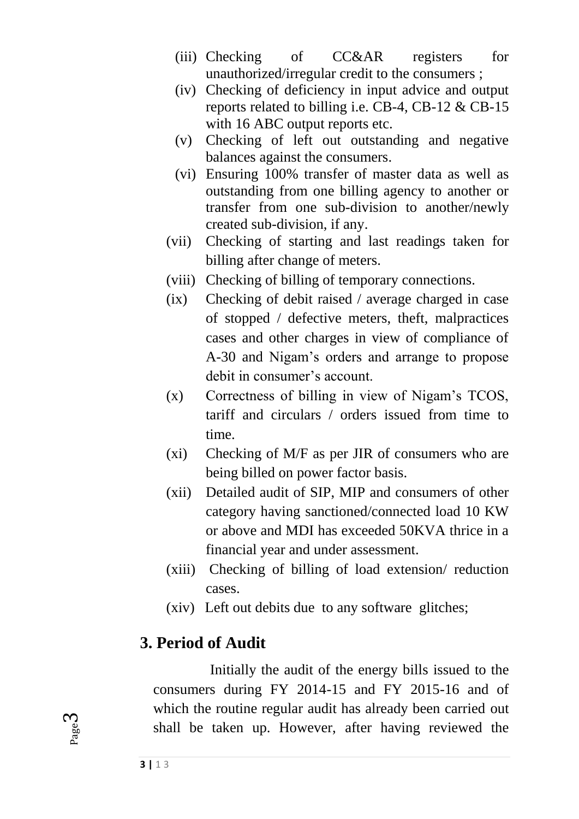- (iii) Checking of CC&AR registers for unauthorized/irregular credit to the consumers ;
- (iv) Checking of deficiency in input advice and output reports related to billing i.e. CB-4, CB-12 & CB-15 with 16 ABC output reports etc.
- (v) Checking of left out outstanding and negative balances against the consumers.
- (vi) Ensuring 100% transfer of master data as well as outstanding from one billing agency to another or transfer from one sub-division to another/newly created sub-division, if any.
- (vii) Checking of starting and last readings taken for billing after change of meters.
- (viii) Checking of billing of temporary connections.
- (ix) Checking of debit raised / average charged in case of stopped / defective meters, theft, malpractices cases and other charges in view of compliance of A-30 and Nigam's orders and arrange to propose debit in consumer's account.
- (x) Correctness of billing in view of Nigam's TCOS, tariff and circulars / orders issued from time to time.
- (xi) Checking of M/F as per JIR of consumers who are being billed on power factor basis.
- (xii) Detailed audit of SIP, MIP and consumers of other category having sanctioned/connected load 10 KW or above and MDI has exceeded 50KVA thrice in a financial year and under assessment.
- (xiii) Checking of billing of load extension/ reduction cases.
- (xiv) Left out debits due to any software glitches;

#### **3. Period of Audit**

Initially the audit of the energy bills issued to the consumers during FY 2014-15 and FY 2015-16 and of which the routine regular audit has already been carried out shall be taken up. However, after having reviewed the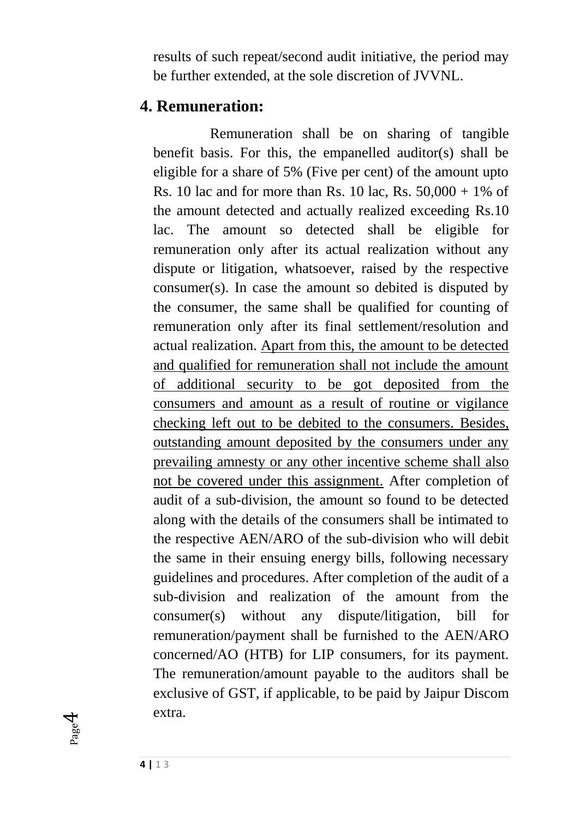results of such repeat/second audit initiative, the period may be further extended, at the sole discretion of JVVNL.

#### **4. Remuneration:**

Remuneration shall be on sharing of tangible benefit basis. For this, the empanelled auditor(s) shall be eligible for a share of 5% (Five per cent) of the amount upto Rs. 10 lac and for more than Rs. 10 lac, Rs.  $50,000 + 1\%$  of the amount detected and actually realized exceeding Rs.10 lac. The amount so detected shall be eligible for remuneration only after its actual realization without any dispute or litigation, whatsoever, raised by the respective consumer(s). In case the amount so debited is disputed by the consumer, the same shall be qualified for counting of remuneration only after its final settlement/resolution and actual realization. Apart from this, the amount to be detected and qualified for remuneration shall not include the amount of additional security to be got deposited from the consumers and amount as a result of routine or vigilance checking left out to be debited to the consumers. Besides, outstanding amount deposited by the consumers under any prevailing amnesty or any other incentive scheme shall also not be covered under this assignment. After completion of audit of a sub-division, the amount so found to be detected along with the details of the consumers shall be intimated to the respective AEN/ARO of the sub-division who will debit the same in their ensuing energy bills, following necessary guidelines and procedures. After completion of the audit of a sub-division and realization of the amount from the consumer(s) without any dispute/litigation, bill for remuneration/payment shall be furnished to the AEN/ARO concerned/AO (HTB) for LIP consumers, for its payment. The remuneration/amount payable to the auditors shall be exclusive of GST, if applicable, to be paid by Jaipur Discom extra.

Page 4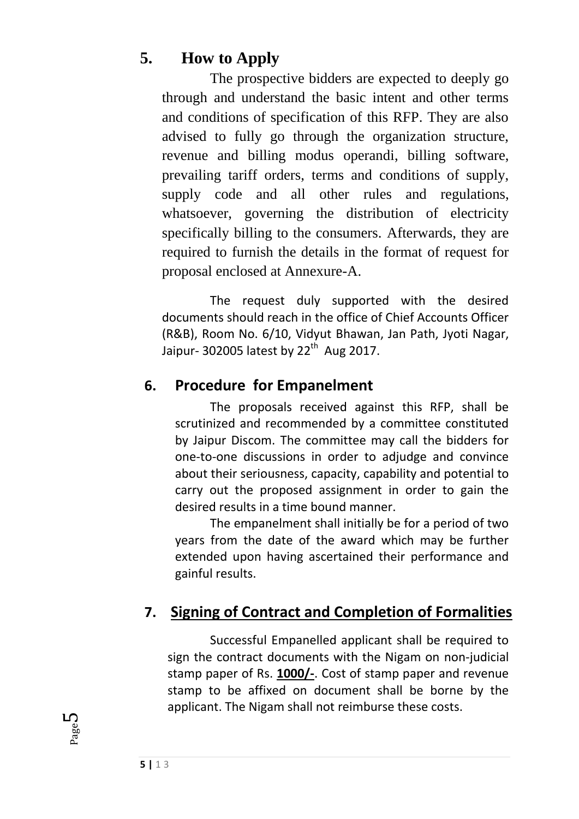## **5. How to Apply**

The prospective bidders are expected to deeply go through and understand the basic intent and other terms and conditions of specification of this RFP. They are also advised to fully go through the organization structure, revenue and billing modus operandi, billing software, prevailing tariff orders, terms and conditions of supply, supply code and all other rules and regulations, whatsoever, governing the distribution of electricity specifically billing to the consumers. Afterwards, they are required to furnish the details in the format of request for proposal enclosed at Annexure-A.

The request duly supported with the desired documents should reach in the office of Chief Accounts Officer (R&B), Room No. 6/10, Vidyut Bhawan, Jan Path, Jyoti Nagar, Jaipur- 302005 latest by 22<sup>th</sup> Aug 2017.

#### **6. Procedure for Empanelment**

The proposals received against this RFP, shall be scrutinized and recommended by a committee constituted by Jaipur Discom. The committee may call the bidders for one-to-one discussions in order to adjudge and convince about their seriousness, capacity, capability and potential to carry out the proposed assignment in order to gain the desired results in a time bound manner.

The empanelment shall initially be for a period of two years from the date of the award which may be further extended upon having ascertained their performance and gainful results.

# **7. Signing of Contract and Completion of Formalities**

Successful Empanelled applicant shall be required to sign the contract documents with the Nigam on non-judicial stamp paper of Rs. **1000/-**. Cost of stamp paper and revenue stamp to be affixed on document shall be borne by the applicant. The Nigam shall not reimburse these costs.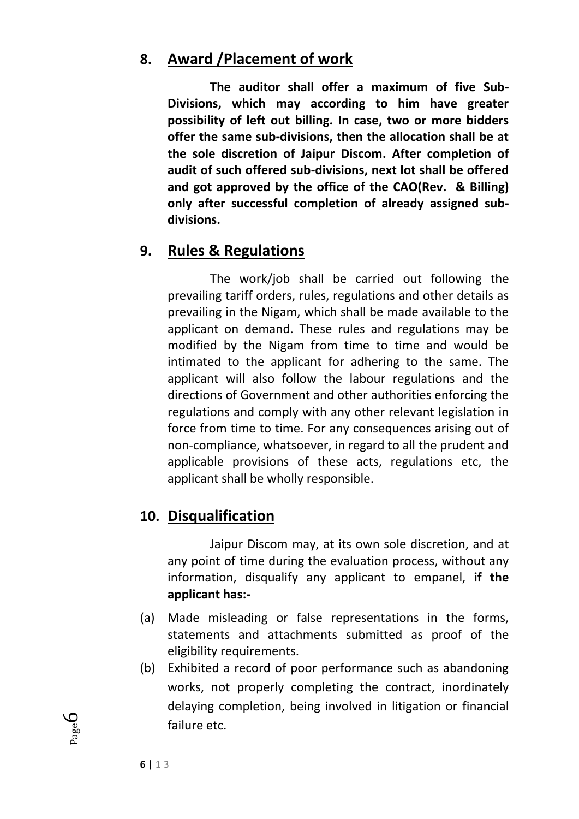## **8. Award /Placement of work**

**The auditor shall offer a maximum of five Sub-Divisions, which may according to him have greater possibility of left out billing. In case, two or more bidders offer the same sub-divisions, then the allocation shall be at the sole discretion of Jaipur Discom. After completion of audit of such offered sub-divisions, next lot shall be offered and got approved by the office of the CAO(Rev. & Billing) only after successful completion of already assigned subdivisions.**

#### **9. Rules & Regulations**

The work/job shall be carried out following the prevailing tariff orders, rules, regulations and other details as prevailing in the Nigam, which shall be made available to the applicant on demand. These rules and regulations may be modified by the Nigam from time to time and would be intimated to the applicant for adhering to the same. The applicant will also follow the labour regulations and the directions of Government and other authorities enforcing the regulations and comply with any other relevant legislation in force from time to time. For any consequences arising out of non-compliance, whatsoever, in regard to all the prudent and applicable provisions of these acts, regulations etc, the applicant shall be wholly responsible.

#### **10. Disqualification**

Jaipur Discom may, at its own sole discretion, and at any point of time during the evaluation process, without any information, disqualify any applicant to empanel, **if the applicant has:-**

- (a) Made misleading or false representations in the forms, statements and attachments submitted as proof of the eligibility requirements.
- (b) Exhibited a record of poor performance such as abandoning works, not properly completing the contract, inordinately delaying completion, being involved in litigation or financial failure etc.

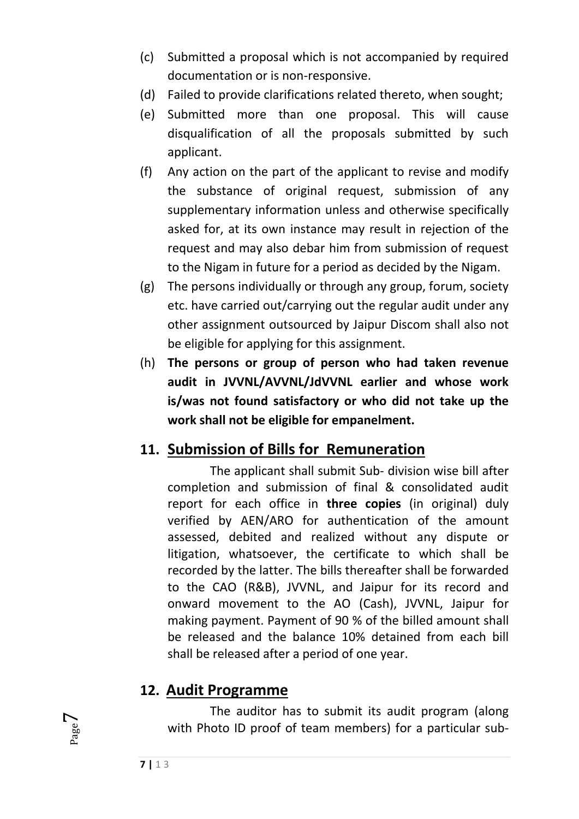- (c) Submitted a proposal which is not accompanied by required documentation or is non-responsive.
- (d) Failed to provide clarifications related thereto, when sought;
- (e) Submitted more than one proposal. This will cause disqualification of all the proposals submitted by such applicant.
- (f) Any action on the part of the applicant to revise and modify the substance of original request, submission of any supplementary information unless and otherwise specifically asked for, at its own instance may result in rejection of the request and may also debar him from submission of request to the Nigam in future for a period as decided by the Nigam.
- (g) The persons individually or through any group, forum, society etc. have carried out/carrying out the regular audit under any other assignment outsourced by Jaipur Discom shall also not be eligible for applying for this assignment.
- (h) **The persons or group of person who had taken revenue audit in JVVNL/AVVNL/JdVVNL earlier and whose work is/was not found satisfactory or who did not take up the work shall not be eligible for empanelment.**

## **11. Submission of Bills for Remuneration**

The applicant shall submit Sub- division wise bill after completion and submission of final & consolidated audit report for each office in **three copies** (in original) duly verified by AEN/ARO for authentication of the amount assessed, debited and realized without any dispute or litigation, whatsoever, the certificate to which shall be recorded by the latter. The bills thereafter shall be forwarded to the CAO (R&B), JVVNL, and Jaipur for its record and onward movement to the AO (Cash), JVVNL, Jaipur for making payment. Payment of 90 % of the billed amount shall be released and the balance 10% detained from each bill shall be released after a period of one year.

#### **12. Audit Programme**

The auditor has to submit its audit program (along with Photo ID proof of team members) for a particular sub-

**7 |** 1 3

Page  $\overline{\phantom{0}}$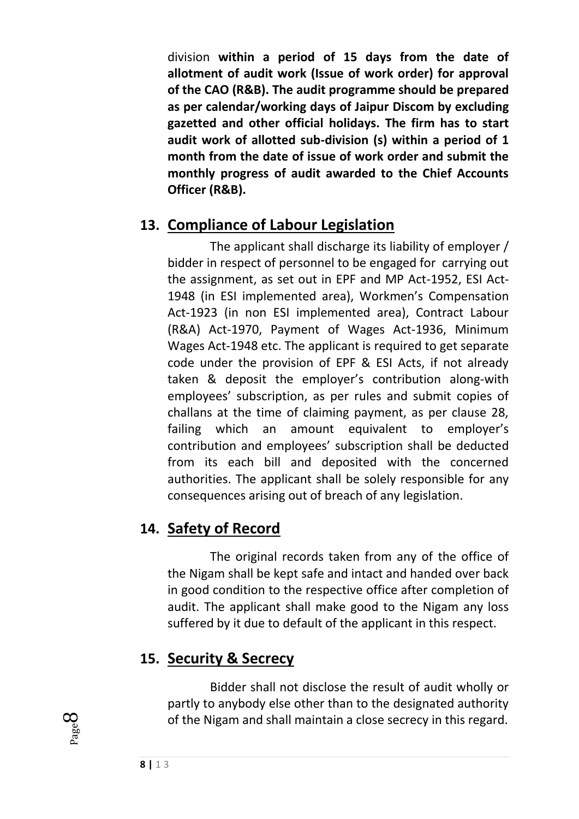division **within a period of 15 days from the date of allotment of audit work (Issue of work order) for approval of the CAO (R&B). The audit programme should be prepared as per calendar/working days of Jaipur Discom by excluding gazetted and other official holidays. The firm has to start audit work of allotted sub-division (s) within a period of 1 month from the date of issue of work order and submit the monthly progress of audit awarded to the Chief Accounts Officer (R&B).** 

### **13. Compliance of Labour Legislation**

The applicant shall discharge its liability of employer / bidder in respect of personnel to be engaged for carrying out the assignment, as set out in EPF and MP Act-1952, ESI Act-1948 (in ESI implemented area), Workmen's Compensation Act-1923 (in non ESI implemented area), Contract Labour (R&A) Act-1970, Payment of Wages Act-1936, Minimum Wages Act-1948 etc. The applicant is required to get separate code under the provision of EPF & ESI Acts, if not already taken & deposit the employer's contribution along-with employees' subscription, as per rules and submit copies of challans at the time of claiming payment, as per clause 28, failing which an amount equivalent to employer's contribution and employees' subscription shall be deducted from its each bill and deposited with the concerned authorities. The applicant shall be solely responsible for any consequences arising out of breach of any legislation.

# **14. Safety of Record**

The original records taken from any of the office of the Nigam shall be kept safe and intact and handed over back in good condition to the respective office after completion of audit. The applicant shall make good to the Nigam any loss suffered by it due to default of the applicant in this respect.

# **15. Security & Secrecy**

Bidder shall not disclose the result of audit wholly or partly to anybody else other than to the designated authority of the Nigam and shall maintain a close secrecy in this regard.

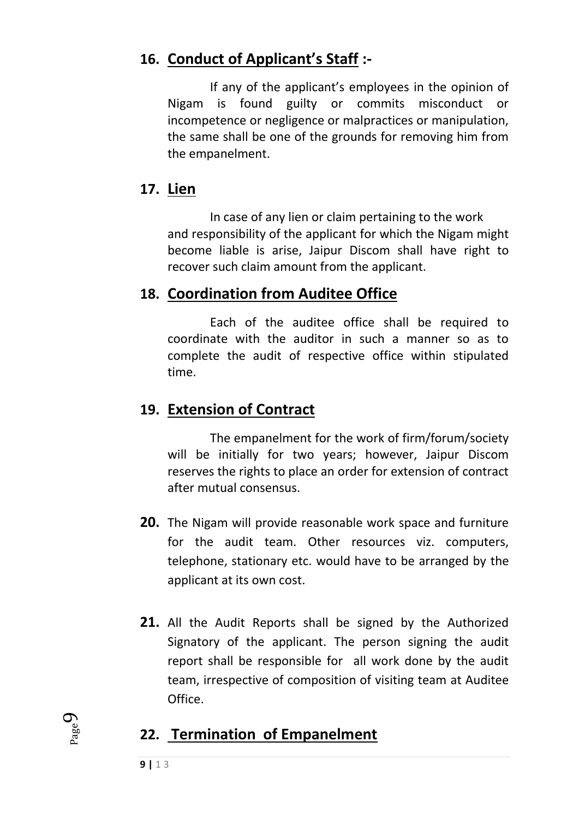# **16. Conduct of Applicant's Staff :-**

If any of the applicant's employees in the opinion of Nigam is found guilty or commits misconduct or incompetence or negligence or malpractices or manipulation, the same shall be one of the grounds for removing him from the empanelment.

### **17. Lien**

In case of any lien or claim pertaining to the work and responsibility of the applicant for which the Nigam might become liable is arise, Jaipur Discom shall have right to recover such claim amount from the applicant.

## **18. Coordination from Auditee Office**

Each of the auditee office shall be required to coordinate with the auditor in such a manner so as to complete the audit of respective office within stipulated time.

## **19. Extension of Contract**

The empanelment for the work of firm/forum/society will be initially for two years; however, Jaipur Discom reserves the rights to place an order for extension of contract after mutual consensus.

- **20.** The Nigam will provide reasonable work space and furniture for the audit team. Other resources viz. computers, telephone, stationary etc. would have to be arranged by the applicant at its own cost.
- **21.** All the Audit Reports shall be signed by the Authorized Signatory of the applicant. The person signing the audit report shall be responsible for all work done by the audit team, irrespective of composition of visiting team at Auditee Office.

# **22. Termination of Empanelment**

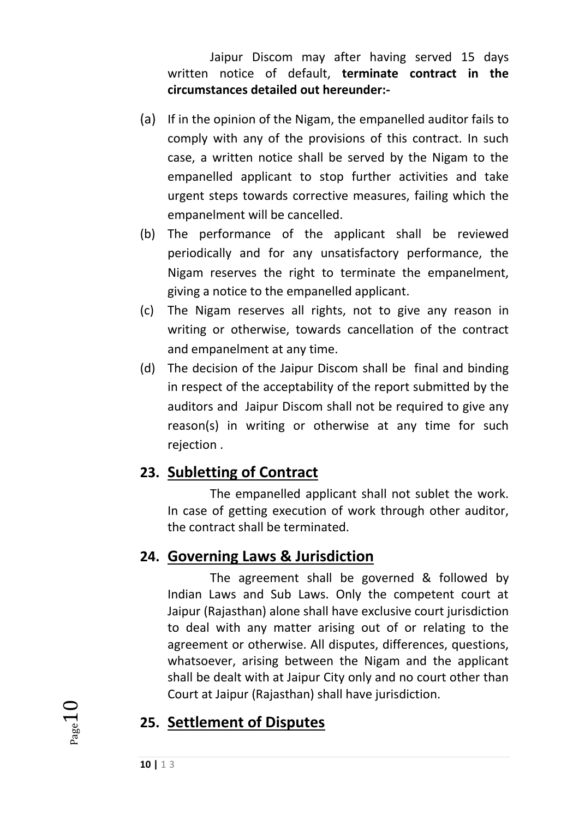Jaipur Discom may after having served 15 days written notice of default, **terminate contract in the circumstances detailed out hereunder:-**

- (a) If in the opinion of the Nigam, the empanelled auditor fails to comply with any of the provisions of this contract. In such case, a written notice shall be served by the Nigam to the empanelled applicant to stop further activities and take urgent steps towards corrective measures, failing which the empanelment will be cancelled.
- (b) The performance of the applicant shall be reviewed periodically and for any unsatisfactory performance, the Nigam reserves the right to terminate the empanelment, giving a notice to the empanelled applicant.
- (c) The Nigam reserves all rights, not to give any reason in writing or otherwise, towards cancellation of the contract and empanelment at any time.
- (d) The decision of the Jaipur Discom shall be final and binding in respect of the acceptability of the report submitted by the auditors and Jaipur Discom shall not be required to give any reason(s) in writing or otherwise at any time for such rejection .

## **23. Subletting of Contract**

The empanelled applicant shall not sublet the work. In case of getting execution of work through other auditor, the contract shall be terminated.

## **24. Governing Laws & Jurisdiction**

The agreement shall be governed & followed by Indian Laws and Sub Laws. Only the competent court at Jaipur (Rajasthan) alone shall have exclusive court jurisdiction to deal with any matter arising out of or relating to the agreement or otherwise. All disputes, differences, questions, whatsoever, arising between the Nigam and the applicant shall be dealt with at Jaipur City only and no court other than Court at Jaipur (Rajasthan) shall have jurisdiction.

## **25. Settlement of Disputes**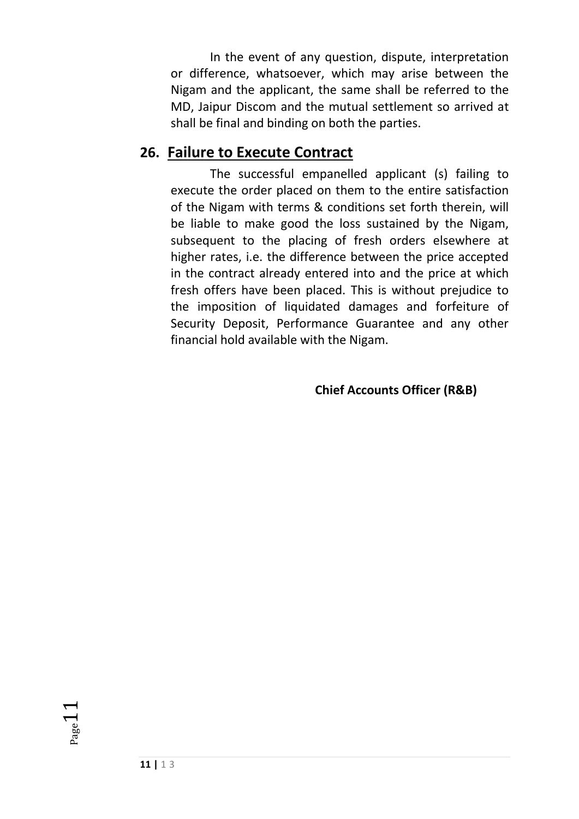In the event of any question, dispute, interpretation or difference, whatsoever, which may arise between the Nigam and the applicant, the same shall be referred to the MD, Jaipur Discom and the mutual settlement so arrived at shall be final and binding on both the parties.

#### **26. Failure to Execute Contract**

The successful empanelled applicant (s) failing to execute the order placed on them to the entire satisfaction of the Nigam with terms & conditions set forth therein, will be liable to make good the loss sustained by the Nigam, subsequent to the placing of fresh orders elsewhere at higher rates, i.e. the difference between the price accepted in the contract already entered into and the price at which fresh offers have been placed. This is without prejudice to the imposition of liquidated damages and forfeiture of Security Deposit, Performance Guarantee and any other financial hold available with the Nigam.

**Chief Accounts Officer (R&B)**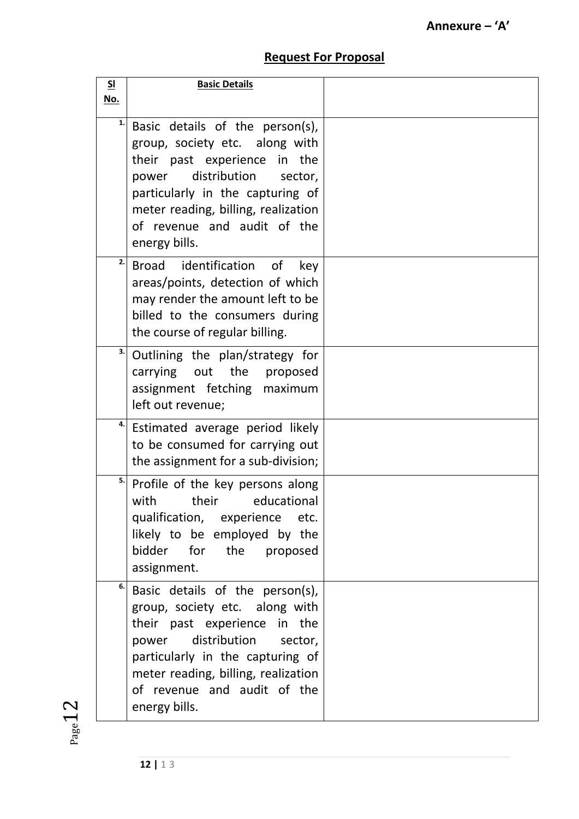#### **Request For Proposal**

| SI<br>No. | <b>Basic Details</b>                                                                                                                                                                                                                                             |  |
|-----------|------------------------------------------------------------------------------------------------------------------------------------------------------------------------------------------------------------------------------------------------------------------|--|
| 1.        | Basic details of the person(s),<br>group, society etc. along with<br>their past experience in the<br>distribution<br>power<br>sector,<br>particularly in the capturing of<br>meter reading, billing, realization<br>of revenue and audit of the<br>energy bills. |  |
| 2.        | Broad identification<br>of<br>key<br>areas/points, detection of which<br>may render the amount left to be<br>billed to the consumers during<br>the course of regular billing.                                                                                    |  |
| 3.        | Outlining the plan/strategy for<br>carrying out the<br>proposed<br>assignment fetching maximum<br>left out revenue;                                                                                                                                              |  |
| 4.        | Estimated average period likely<br>to be consumed for carrying out<br>the assignment for a sub-division;                                                                                                                                                         |  |
| 5.        | Profile of the key persons along<br>their<br>educational<br>with<br>qualification, experience<br>etc.<br>likely to be employed by the<br>bidder for the proposed<br>assignment.                                                                                  |  |
| 6.        | Basic details of the person(s),<br>group, society etc. along with<br>their past experience in the<br>distribution<br>sector,<br>power<br>particularly in the capturing of<br>meter reading, billing, realization<br>of revenue and audit of the<br>energy bills. |  |

 $_{\rm Page}12$